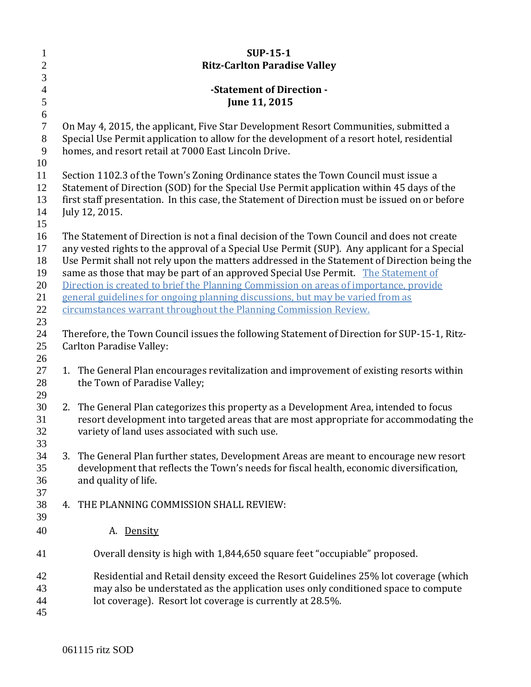| $\mathbf{1}$   | <b>SUP-15-1</b>                                                                                |
|----------------|------------------------------------------------------------------------------------------------|
| $\mathbf{2}$   | <b>Ritz-Carlton Paradise Valley</b>                                                            |
| $\mathfrak{Z}$ |                                                                                                |
| $\overline{4}$ | -Statement of Direction -                                                                      |
| $\mathfrak{S}$ | June 11, 2015                                                                                  |
| 6              |                                                                                                |
| $\overline{7}$ | On May 4, 2015, the applicant, Five Star Development Resort Communities, submitted a           |
| $8\,$          | Special Use Permit application to allow for the development of a resort hotel, residential     |
| 9              | homes, and resort retail at 7000 East Lincoln Drive.                                           |
| 10<br>11       | Section 1102.3 of the Town's Zoning Ordinance states the Town Council must issue a             |
| 12             | Statement of Direction (SOD) for the Special Use Permit application within 45 days of the      |
| 13             | first staff presentation. In this case, the Statement of Direction must be issued on or before |
| 14             | July 12, 2015.                                                                                 |
| 15             |                                                                                                |
| 16             | The Statement of Direction is not a final decision of the Town Council and does not create     |
| 17             | any vested rights to the approval of a Special Use Permit (SUP). Any applicant for a Special   |
| 18             | Use Permit shall not rely upon the matters addressed in the Statement of Direction being the   |
| 19             | same as those that may be part of an approved Special Use Permit. The Statement of             |
| 20             | Direction is created to brief the Planning Commission on areas of importance, provide          |
| 21             | general guidelines for ongoing planning discussions, but may be varied from as                 |
| 22             | circumstances warrant throughout the Planning Commission Review.                               |
| 23<br>24       | Therefore, the Town Council issues the following Statement of Direction for SUP-15-1, Ritz-    |
| 25             | <b>Carlton Paradise Valley:</b>                                                                |
| 26             |                                                                                                |
| 27             | 1. The General Plan encourages revitalization and improvement of existing resorts within       |
| 28             | the Town of Paradise Valley;                                                                   |
| 29             |                                                                                                |
| 30             | The General Plan categorizes this property as a Development Area, intended to focus<br>2.      |
| 31             | resort development into targeted areas that are most appropriate for accommodating the         |
| 32             | variety of land uses associated with such use.                                                 |
| 33             |                                                                                                |
| 34             | 3. The General Plan further states, Development Areas are meant to encourage new resort        |
| 35             | development that reflects the Town's needs for fiscal health, economic diversification,        |
| 36             | and quality of life.                                                                           |
| 37<br>38       | THE PLANNING COMMISSION SHALL REVIEW:<br>4.                                                    |
| 39             |                                                                                                |
| 40             | A. Density                                                                                     |
|                |                                                                                                |
| 41             | Overall density is high with 1,844,650 square feet "occupiable" proposed.                      |
| 42             | Residential and Retail density exceed the Resort Guidelines 25% lot coverage (which            |
| 43             | may also be understated as the application uses only conditioned space to compute              |
| 44             | lot coverage). Resort lot coverage is currently at 28.5%.                                      |
| 45             |                                                                                                |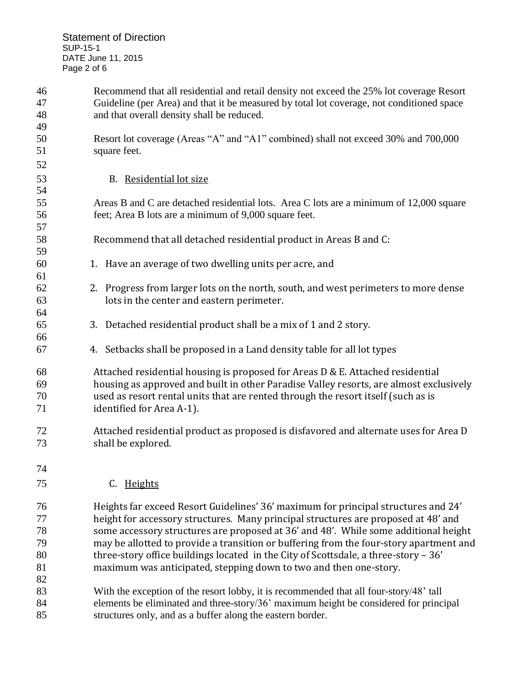| 46<br>47<br>48 | Recommend that all residential and retail density not exceed the 25% lot coverage Resort<br>Guideline (per Area) and that it be measured by total lot coverage, not conditioned space<br>and that overall density shall be reduced. |
|----------------|-------------------------------------------------------------------------------------------------------------------------------------------------------------------------------------------------------------------------------------|
| 49             |                                                                                                                                                                                                                                     |
| 50             | Resort lot coverage (Areas "A" and "A1" combined) shall not exceed 30% and 700,000                                                                                                                                                  |
| 51             | square feet.                                                                                                                                                                                                                        |
| 52             |                                                                                                                                                                                                                                     |
| 53             | B. Residential lot size                                                                                                                                                                                                             |
| 54             |                                                                                                                                                                                                                                     |
| 55             | Areas B and C are detached residential lots. Area C lots are a minimum of 12,000 square                                                                                                                                             |
| 56             | feet; Area B lots are a minimum of 9,000 square feet.                                                                                                                                                                               |
| 57             |                                                                                                                                                                                                                                     |
| 58             | Recommend that all detached residential product in Areas B and C:                                                                                                                                                                   |
| 59             |                                                                                                                                                                                                                                     |
| 60             | 1. Have an average of two dwelling units per acre, and                                                                                                                                                                              |
| 61             |                                                                                                                                                                                                                                     |
| 62             | 2. Progress from larger lots on the north, south, and west perimeters to more dense                                                                                                                                                 |
| 63             | lots in the center and eastern perimeter.                                                                                                                                                                                           |
| 64             |                                                                                                                                                                                                                                     |
| 65             | 3. Detached residential product shall be a mix of 1 and 2 story.                                                                                                                                                                    |
| 66             |                                                                                                                                                                                                                                     |
| 67             | 4. Setbacks shall be proposed in a Land density table for all lot types                                                                                                                                                             |
| 68             | Attached residential housing is proposed for Areas D & E. Attached residential                                                                                                                                                      |
| 69             | housing as approved and built in other Paradise Valley resorts, are almost exclusively                                                                                                                                              |
| 70             | used as resort rental units that are rented through the resort itself (such as is                                                                                                                                                   |
| 71             | identified for Area A-1).                                                                                                                                                                                                           |
| 72             | Attached residential product as proposed is disfavored and alternate uses for Area D                                                                                                                                                |
| 73             | shall be explored.                                                                                                                                                                                                                  |
| 74             |                                                                                                                                                                                                                                     |
| 75             | C. Heights                                                                                                                                                                                                                          |
| 76             | Heights far exceed Resort Guidelines' 36' maximum for principal structures and 24'                                                                                                                                                  |
| 77             | height for accessory structures. Many principal structures are proposed at 48' and                                                                                                                                                  |
| 78             | some accessory structures are proposed at 36' and 48'. While some additional height                                                                                                                                                 |
| 79             | may be allotted to provide a transition or buffering from the four-story apartment and                                                                                                                                              |
| 80             | three-story office buildings located in the City of Scottsdale, a three-story - 36'                                                                                                                                                 |
| 81             | maximum was anticipated, stepping down to two and then one-story.                                                                                                                                                                   |
| 82             |                                                                                                                                                                                                                                     |
| 83             | With the exception of the resort lobby, it is recommended that all four-story/48' tall                                                                                                                                              |
| 84             | elements be eliminated and three-story/36' maximum height be considered for principal                                                                                                                                               |
| 85             | structures only, and as a buffer along the eastern border.                                                                                                                                                                          |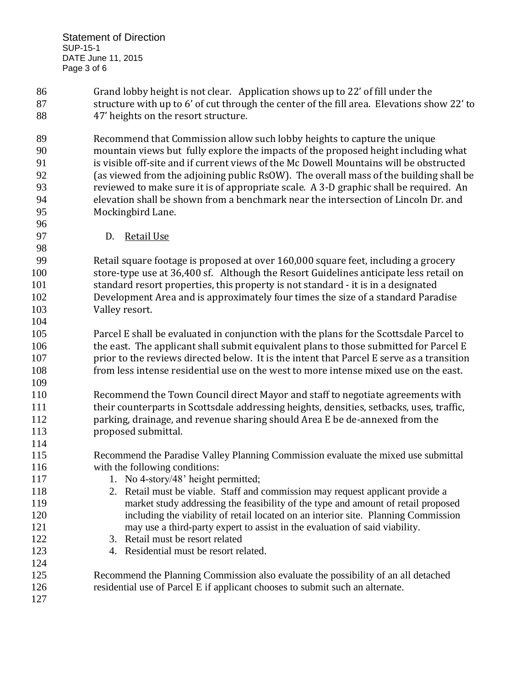Grand lobby height is not clear. Application shows up to 22' of fill under the structure with up to 6' of cut through the center of the fill area. Elevations show 22' to 47' heights on the resort structure.

 Recommend that Commission allow such lobby heights to capture the unique mountain views but fully explore the impacts of the proposed height including what is visible off-site and if current views of the Mc Dowell Mountains will be obstructed (as viewed from the adjoining public RsOW). The overall mass of the building shall be reviewed to make sure it is of appropriate scale. A 3-D graphic shall be required. An elevation shall be shown from a benchmark near the intersection of Lincoln Dr. and Mockingbird Lane.

D. Retail Use

 Retail square footage is proposed at over 160,000 square feet, including a grocery store-type use at 36,400 sf. Although the Resort Guidelines anticipate less retail on standard resort properties, this property is not standard - it is in a designated Development Area and is approximately four times the size of a standard Paradise Valley resort. 

 Parcel E shall be evaluated in conjunction with the plans for the Scottsdale Parcel to 106 the east. The applicant shall submit equivalent plans to those submitted for Parcel E prior to the reviews directed below. It is the intent that Parcel E serve as a transition from less intense residential use on the west to more intense mixed use on the east. 

 Recommend the Town Council direct Mayor and staff to negotiate agreements with their counterparts in Scottsdale addressing heights, densities, setbacks, uses, traffic, parking, drainage, and revenue sharing should Area E be de-annexed from the **proposed submittal.** 

 Recommend the Paradise Valley Planning Commission evaluate the mixed use submittal with the following conditions:

- 117 1. No 4-story/48' height permitted;
- 2. Retail must be viable. Staff and commission may request applicant provide a market study addressing the feasibility of the type and amount of retail proposed including the viability of retail located on an interior site. Planning Commission may use a third-party expert to assist in the evaluation of said viability.
- 3. Retail must be resort related
- 4. Residential must be resort related.

 Recommend the Planning Commission also evaluate the possibility of an all detached residential use of Parcel E if applicant chooses to submit such an alternate.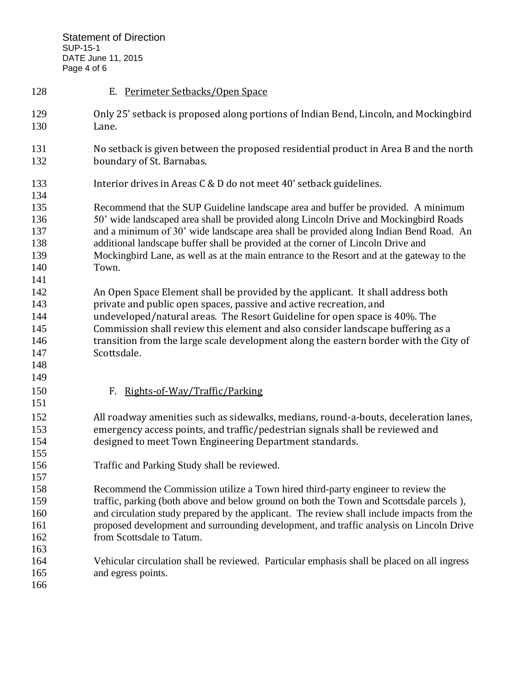| 128                                           | E. Perimeter Setbacks/Open Space                                                                                                                                                                                                                                                                                                                                                                                                                             |
|-----------------------------------------------|--------------------------------------------------------------------------------------------------------------------------------------------------------------------------------------------------------------------------------------------------------------------------------------------------------------------------------------------------------------------------------------------------------------------------------------------------------------|
| 129<br>130                                    | Only 25' setback is proposed along portions of Indian Bend, Lincoln, and Mockingbird<br>Lane.                                                                                                                                                                                                                                                                                                                                                                |
| 131<br>132                                    | No setback is given between the proposed residential product in Area B and the north<br>boundary of St. Barnabas.                                                                                                                                                                                                                                                                                                                                            |
| 133<br>134                                    | Interior drives in Areas C & D do not meet 40' setback guidelines.                                                                                                                                                                                                                                                                                                                                                                                           |
| 135<br>136<br>137<br>138<br>139<br>140<br>141 | Recommend that the SUP Guideline landscape area and buffer be provided. A minimum<br>50' wide landscaped area shall be provided along Lincoln Drive and Mockingbird Roads<br>and a minimum of 30' wide landscape area shall be provided along Indian Bend Road. An<br>additional landscape buffer shall be provided at the corner of Lincoln Drive and<br>Mockingbird Lane, as well as at the main entrance to the Resort and at the gateway to the<br>Town. |
| 142<br>143<br>144<br>145<br>146<br>147<br>148 | An Open Space Element shall be provided by the applicant. It shall address both<br>private and public open spaces, passive and active recreation, and<br>undeveloped/natural areas. The Resort Guideline for open space is 40%. The<br>Commission shall review this element and also consider landscape buffering as a<br>transition from the large scale development along the eastern border with the City of<br>Scottsdale.                               |
| 149<br>150<br>151                             | F. Rights-of-Way/Traffic/Parking                                                                                                                                                                                                                                                                                                                                                                                                                             |
| 152<br>153<br>154<br>155                      | All roadway amenities such as sidewalks, medians, round-a-bouts, deceleration lanes,<br>emergency access points, and traffic/pedestrian signals shall be reviewed and<br>designed to meet Town Engineering Department standards.                                                                                                                                                                                                                             |
| 156<br>157                                    | Traffic and Parking Study shall be reviewed.                                                                                                                                                                                                                                                                                                                                                                                                                 |
| 158<br>159<br>160<br>161<br>162<br>163        | Recommend the Commission utilize a Town hired third-party engineer to review the<br>traffic, parking (both above and below ground on both the Town and Scottsdale parcels),<br>and circulation study prepared by the applicant. The review shall include impacts from the<br>proposed development and surrounding development, and traffic analysis on Lincoln Drive<br>from Scottsdale to Tatum.                                                            |
| 164<br>165<br>166                             | Vehicular circulation shall be reviewed. Particular emphasis shall be placed on all ingress<br>and egress points.                                                                                                                                                                                                                                                                                                                                            |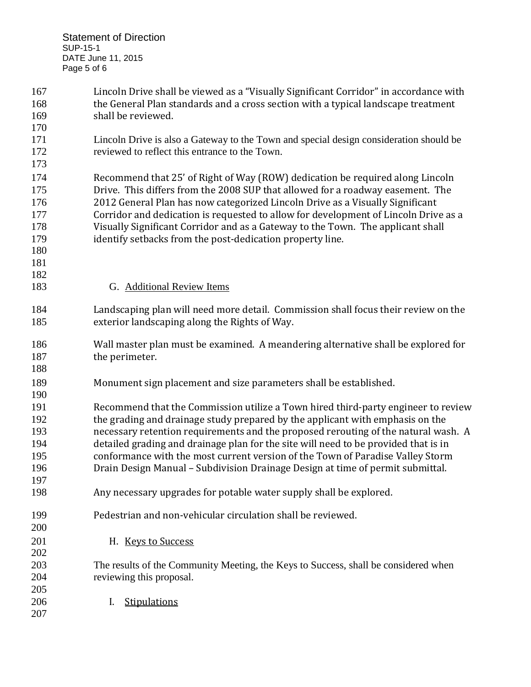| 167 | Lincoln Drive shall be viewed as a "Visually Significant Corridor" in accordance with  |
|-----|----------------------------------------------------------------------------------------|
| 168 | the General Plan standards and a cross section with a typical landscape treatment      |
| 169 | shall be reviewed.                                                                     |
| 170 |                                                                                        |
| 171 | Lincoln Drive is also a Gateway to the Town and special design consideration should be |
| 172 | reviewed to reflect this entrance to the Town.                                         |
| 173 |                                                                                        |
| 174 | Recommend that 25' of Right of Way (ROW) dedication be required along Lincoln          |
| 175 | Drive. This differs from the 2008 SUP that allowed for a roadway easement. The         |
| 176 | 2012 General Plan has now categorized Lincoln Drive as a Visually Significant          |
| 177 | Corridor and dedication is requested to allow for development of Lincoln Drive as a    |
| 178 | Visually Significant Corridor and as a Gateway to the Town. The applicant shall        |
| 179 | identify setbacks from the post-dedication property line.                              |
| 180 |                                                                                        |
| 181 |                                                                                        |
| 182 |                                                                                        |
| 183 | G. Additional Review Items                                                             |
| 184 | Landscaping plan will need more detail. Commission shall focus their review on the     |
| 185 | exterior landscaping along the Rights of Way.                                          |
| 186 | Wall master plan must be examined. A meandering alternative shall be explored for      |
| 187 | the perimeter.                                                                         |
| 188 |                                                                                        |
| 189 | Monument sign placement and size parameters shall be established.                      |
| 190 |                                                                                        |
| 191 | Recommend that the Commission utilize a Town hired third-party engineer to review      |
| 192 | the grading and drainage study prepared by the applicant with emphasis on the          |
| 193 | necessary retention requirements and the proposed rerouting of the natural wash. A     |
| 194 | detailed grading and drainage plan for the site will need to be provided that is in    |
| 195 | conformance with the most current version of the Town of Paradise Valley Storm         |
| 196 | Drain Design Manual - Subdivision Drainage Design at time of permit submittal.         |
| 197 |                                                                                        |
| 198 | Any necessary upgrades for potable water supply shall be explored.                     |
| 199 | Pedestrian and non-vehicular circulation shall be reviewed.                            |
| 200 |                                                                                        |
| 201 | H. Keys to Success                                                                     |
| 202 |                                                                                        |
| 203 | The results of the Community Meeting, the Keys to Success, shall be considered when    |
| 204 | reviewing this proposal.                                                               |
| 205 |                                                                                        |
| 206 | <b>Stipulations</b><br>I.                                                              |
| 207 |                                                                                        |